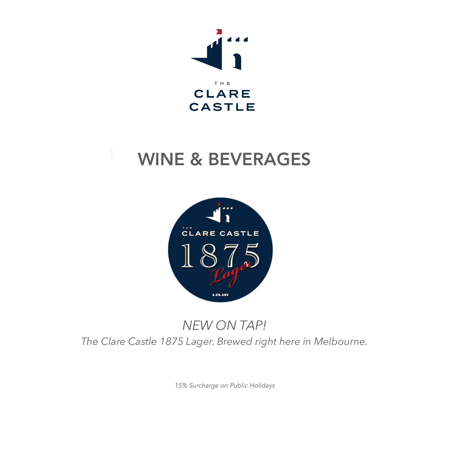

# WINE & BEVERAGES



## *NEW ON TAP! The Clare Castle 1875 Lager. Brewed right here in Melbourne.*

*15% Surcharge on Public Holidays*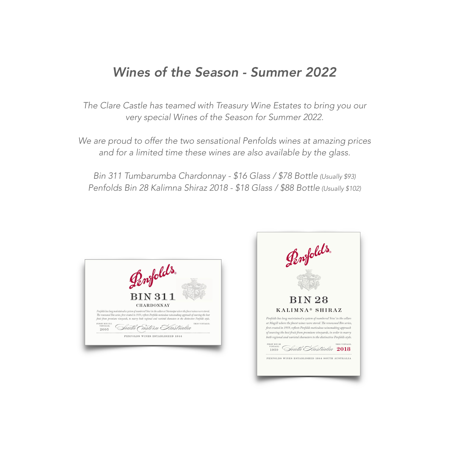### *Wines of the Season - Summer 2022*

*The Clare Castle has teamed with Treasury Wine Estates to bring you our very special Wines of the Season for Summer 2022.*

*We are proud to offer the two sensational Penfolds wines at amazing prices and for a limited time these wines are also available by the glass.*

*Bin 311 Tumbarumba Chardonnay - \$16 Glass / \$78 Bottle (Usually \$93) Penfolds Bin 28 Kalimna Shiraz 2018 - \$18 Glass / \$88 Bottle (Usually \$102)*

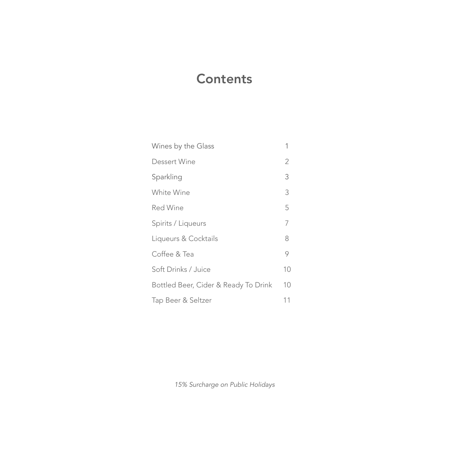### **Contents**

| Wines by the Glass                   |    |
|--------------------------------------|----|
| Dessert Wine                         | 2  |
| Sparkling                            | 3  |
| White Wine                           | 3  |
| Red Wine                             | 5  |
| Spirits / Liqueurs                   | 7  |
| Liqueurs & Cocktails                 | 8  |
| Coffee & Tea                         | 9  |
| Soft Drinks / Juice                  | 10 |
| Bottled Beer, Cider & Ready To Drink | 10 |
| Tap Beer & Seltzer                   | 11 |

*15% Surcharge on Public Holidays*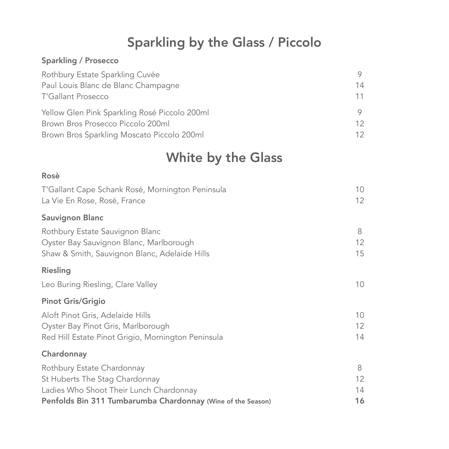### Sparkling by the Glass / Piccolo

#### Sparkling / Prosecco

| Rothbury Estate Sparkling Cuvée               | 9. |
|-----------------------------------------------|----|
| Paul Louis Blanc de Blanc Champagne           | 14 |
| <b>T'Gallant Prosecco</b>                     | 11 |
| Yellow Glen Pink Sparkling Rosé Piccolo 200ml | 9  |
| Brown Bros Prosecco Piccolo 200ml             | 12 |
| Brown Bros Sparkling Moscato Piccolo 200ml    | 12 |

### White by the Glass

### Rosè T'Gallant Cape Schank Rosé, Mornington Peninsula 10 La Vie En Rose, Rosé, France 12 Sauvignon Blanc Rothbury Estate Sauvignon Blanc 8 and 8 and 8 and 8 and 8 and 8 and 8 and 8 and 8 and 8 and 8 and 8 and 8 and 8 and 8 and 8 and 8 and 8 and 8 and 8 and 8 and 8 and 8 and 8 and 8 and 8 and 8 and 8 and 8 and 8 and 8 and 8 an Oyster Bay Sauvignon Blanc, Marlborough 12 Shaw & Smith, Sauvignon Blanc, Adelaide Hills 15 Riesling Leo Buring Riesling, Clare Valley 10 Pinot Gris/Grigio Aloft Pinot Gris, Adelaide Hills 10 Oyster Bay Pinot Gris, Marlborough 12 Red Hill Estate Pinot Grigio, Mornington Peninsula 14 **Chardonnay** Rothbury Estate Chardonnay 8 St Huberts The Stag Chardonnay 12 Ladies Who Shoot Their Lunch Chardonnay 14 Penfolds Bin 311 Tumbarumba Chardonnay (Wine of the Season) 16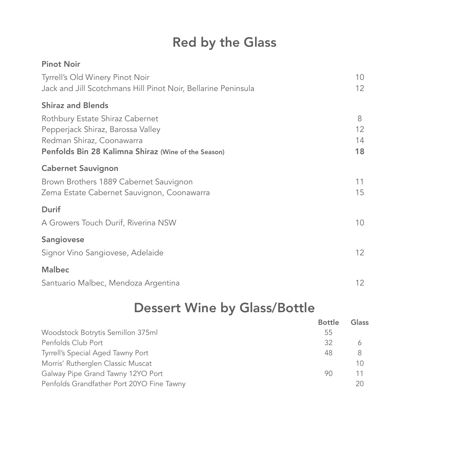## Red by the Glass

| <b>Pinot Noir</b>                                             |                 |
|---------------------------------------------------------------|-----------------|
| Tyrrell's Old Winery Pinot Noir                               | 10              |
| Jack and Jill Scotchmans Hill Pinot Noir, Bellarine Peninsula | 12 <sup>°</sup> |
| <b>Shiraz and Blends</b>                                      |                 |
| Rothbury Estate Shiraz Cabernet                               | 8               |
| Pepperjack Shiraz, Barossa Valley                             | 12              |
| Redman Shiraz, Coonawarra                                     | 14              |
| Penfolds Bin 28 Kalimna Shiraz (Wine of the Season)           | 18              |
| <b>Cabernet Sauvignon</b>                                     |                 |
| Brown Brothers 1889 Cabernet Sauvignon                        | 11              |
| Zema Estate Cabernet Sauvignon, Coonawarra                    | 15              |
| <b>Durif</b>                                                  |                 |
| A Growers Touch Durif, Riverina NSW                           | 10              |
| Sangiovese                                                    |                 |
| Signor Vino Sangiovese, Adelaide                              | 12 <sup>2</sup> |
| <b>Malbec</b>                                                 |                 |
| Santuario Malbec, Mendoza Argentina                           | 12              |

Dessert Wine by Glass/Bottle

|                                           | <b>Bottle</b> | Glass |
|-------------------------------------------|---------------|-------|
| Woodstock Botrytis Semillon 375ml         | 55            |       |
| Penfolds Club Port                        | 32            |       |
| Tyrrell's Special Aged Tawny Port         | 48            | 8     |
| Morris' Rutherglen Classic Muscat         |               | 10    |
| Galway Pipe Grand Tawny 12YO Port         | 90            | 11    |
| Penfolds Grandfather Port 20YO Fine Tawny |               | 20    |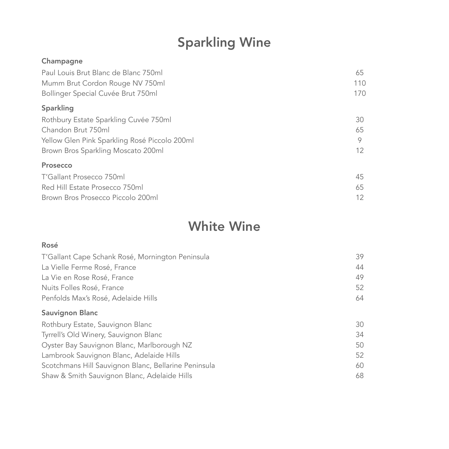# Sparkling Wine

#### Champagne

| Paul Louis Brut Blanc de Blanc 750ml          | 65              |
|-----------------------------------------------|-----------------|
| Mumm Brut Cordon Rouge NV 750ml               | 110             |
| Bollinger Special Cuvée Brut 750ml            | 170             |
| Sparkling                                     |                 |
| Rothbury Estate Sparkling Cuvée 750ml         | 30              |
| Chandon Brut 750ml                            | 65              |
| Yellow Glen Pink Sparkling Rosé Piccolo 200ml | 9               |
| Brown Bros Sparkling Moscato 200ml            | 12 <sup>2</sup> |
| Prosecco                                      |                 |
| T'Gallant Prosecco 750ml                      | 45              |
| Red Hill Estate Prosecco 750ml                | 65              |
| Brown Bros Prosecco Piccolo 200ml             | 12 <sup>°</sup> |

### White Wine

| Rosé                                                 |    |
|------------------------------------------------------|----|
| T'Gallant Cape Schank Rosé, Mornington Peninsula     | 39 |
| La Vielle Ferme Rosé, France                         | 44 |
| La Vie en Rose Rosé, France                          | 49 |
| Nuits Folles Rosé, France                            | 52 |
| Penfolds Max's Rosé, Adelaide Hills                  | 64 |
| <b>Sauvignon Blanc</b>                               |    |
| Rothbury Estate, Sauvignon Blanc                     | 30 |
| Tyrrell's Old Winery, Sauvignon Blanc                | 34 |
| Oyster Bay Sauvignon Blanc, Marlborough NZ           | 50 |
| Lambrook Sauvignon Blanc, Adelaide Hills             | 52 |
| Scotchmans Hill Sauvignon Blanc, Bellarine Peninsula | 60 |
| Shaw & Smith Sauvignon Blanc, Adelaide Hills         | 68 |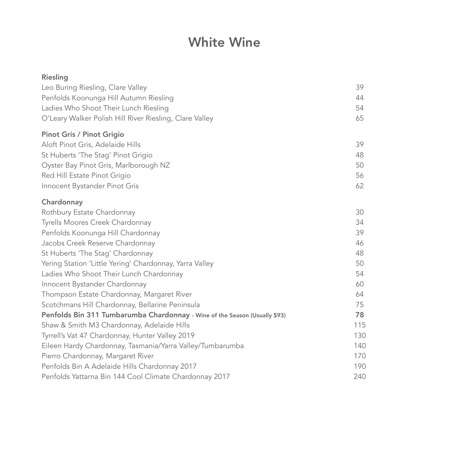### White Wine

| Riesling                                                                   |     |
|----------------------------------------------------------------------------|-----|
| Leo Buring Riesling, Clare Valley                                          | 39  |
| Penfolds Koonunga Hill Autumn Riesling                                     | 44  |
| Ladies Who Shoot Their Lunch Riesling                                      | 54  |
| O'Leary Walker Polish Hill River Riesling, Clare Valley                    | 65  |
| <b>Pinot Gris / Pinot Grigio</b>                                           |     |
| Aloft Pinot Gris, Adelaide Hills                                           | 39  |
| St Huberts 'The Stag' Pinot Grigio                                         | 48  |
| Oyster Bay Pinot Gris, Marlborough NZ                                      | 50  |
| Red Hill Estate Pinot Grigio                                               | 56  |
| Innocent Bystander Pinot Gris                                              | 62  |
| Chardonnay                                                                 |     |
| Rothbury Estate Chardonnay                                                 | 30  |
| Tyrells Moores Creek Chardonnay                                            | 34  |
| Penfolds Koonunga Hill Chardonnay                                          | 39  |
| Jacobs Creek Reserve Chardonnay                                            | 46  |
| St Huberts 'The Stag' Chardonnay                                           | 48  |
| Yering Station 'Little Yering' Chardonnay, Yarra Valley                    | 50  |
| Ladies Who Shoot Their Lunch Chardonnay                                    | 54  |
| Innocent Bystander Chardonnay                                              | 60  |
| Thompson Estate Chardonnay, Margaret River                                 | 64  |
| Scotchmans Hill Chardonnay, Bellarine Peninsula                            | 75  |
| Penfolds Bin 311 Tumbarumba Chardonnay - Wine of the Season (Usually \$93) | 78  |
| Shaw & Smith M3 Chardonnay, Adelaide Hills                                 | 115 |
| Tyrrell's Vat 47 Chardonnay, Hunter Valley 2019                            | 130 |
| Eileen Hardy Chardonnay, Tasmania/Yarra Valley/Tumbarumba                  | 140 |
| Pierro Chardonnay, Margaret River                                          | 170 |
| Penfolds Bin A Adelaide Hills Chardonnay 2017                              | 190 |
| Penfolds Yattarna Bin 144 Cool Climate Chardonnay 2017                     | 240 |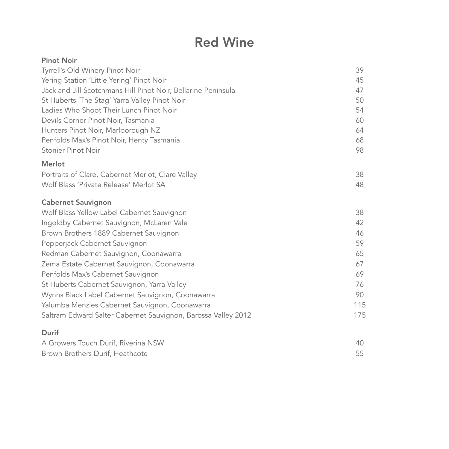## Red Wine

| <b>Pinot Noir</b>                                             |     |
|---------------------------------------------------------------|-----|
| Tyrrell's Old Winery Pinot Noir                               | 39  |
| Yering Station 'Little Yering' Pinot Noir                     | 45  |
| Jack and Jill Scotchmans Hill Pinot Noir, Bellarine Peninsula | 47  |
| St Huberts 'The Stag' Yarra Valley Pinot Noir                 | 50  |
| Ladies Who Shoot Their Lunch Pinot Noir                       | 54  |
| Devils Corner Pinot Noir, Tasmania                            | 60  |
| Hunters Pinot Noir, Marlborough NZ                            | 64  |
| Penfolds Max's Pinot Noir, Henty Tasmania                     | 68  |
| Stonier Pinot Noir                                            | 98  |
| Merlot                                                        |     |
| Portraits of Clare, Cabernet Merlot, Clare Valley             | 38  |
| Wolf Blass 'Private Release' Merlot SA                        | 48  |
| <b>Cabernet Sauvignon</b>                                     |     |
| Wolf Blass Yellow Label Cabernet Sauvignon                    | 38  |
| Ingoldby Cabernet Sauvignon, McLaren Vale                     | 42  |
| Brown Brothers 1889 Cabernet Sauvignon                        | 46  |
| Pepperjack Cabernet Sauvignon                                 | 59  |
| Redman Cabernet Sauvignon, Coonawarra                         | 65  |
| Zema Estate Cabernet Sauvignon, Coonawarra                    | 67  |
| Penfolds Max's Cabernet Sauvignon                             | 69  |
| St Huberts Cabernet Sauvignon, Yarra Valley                   | 76  |
| Wynns Black Label Cabernet Sauvignon, Coonawarra              | 90  |
| Yalumba Menzies Cabernet Sauvignon, Coonawarra                | 115 |
| Saltram Edward Salter Cabernet Sauvignon, Barossa Valley 2012 | 175 |
| Durif                                                         |     |
| A Growers Touch Durif, Riverina NSW                           | 40  |
| Brown Brothers Durif, Heathcote                               | 55  |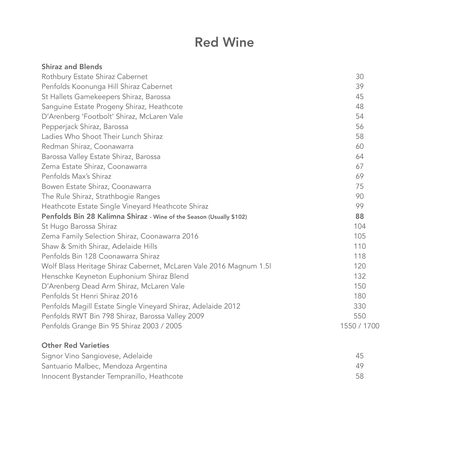### Red Wine

| <b>Shiraz and Blends</b>                                            |             |
|---------------------------------------------------------------------|-------------|
| Rothbury Estate Shiraz Cabernet                                     | 30          |
| Penfolds Koonunga Hill Shiraz Cabernet                              | 39          |
| St Hallets Gamekeepers Shiraz, Barossa                              | 45          |
| Sanguine Estate Progeny Shiraz, Heathcote                           | 48          |
| D'Arenberg 'Footbolt' Shiraz, McLaren Vale                          | 54          |
| Pepperjack Shiraz, Barossa                                          | 56          |
| Ladies Who Shoot Their Lunch Shiraz                                 | 58          |
| Redman Shiraz, Coonawarra                                           | 60          |
| Barossa Valley Estate Shiraz, Barossa                               | 64          |
| Zema Estate Shiraz, Coonawarra                                      | 67          |
| Penfolds Max's Shiraz                                               | 69          |
| Bowen Estate Shiraz, Coonawarra                                     | 75          |
| The Rule Shiraz, Strathbogie Ranges                                 | 90          |
| Heathcote Estate Single Vineyard Heathcote Shiraz                   | 99          |
| Penfolds Bin 28 Kalimna Shiraz - Wine of the Season (Usually \$102) | 88          |
| St Hugo Barossa Shiraz                                              | 104         |
| Zema Family Selection Shiraz, Coonawarra 2016                       | 105         |
| Shaw & Smith Shiraz, Adelaide Hills                                 | 110         |
| Penfolds Bin 128 Coonawarra Shiraz                                  | 118         |
| Wolf Blass Heritage Shiraz Cabernet, McLaren Vale 2016 Magnum 1.5   | 120         |
| Henschke Keyneton Euphonium Shiraz Blend                            | 132         |
| D'Arenberg Dead Arm Shiraz, McLaren Vale                            | 150         |
| Penfolds St Henri Shiraz 2016                                       | 180         |
| Penfolds Magill Estate Single Vineyard Shiraz, Adelaide 2012        | 330         |
| Penfolds RWT Bin 798 Shiraz, Barossa Valley 2009                    | 550         |
| Penfolds Grange Bin 95 Shiraz 2003 / 2005                           | 1550 / 1700 |
| <b>Other Red Varieties</b>                                          |             |
| Signor Vino Sangiovese, Adelaide                                    | 45          |
| Santuario Malbec, Mendoza Argentina                                 | 49          |
| Innocent Bystander Tempranillo, Heathcote                           | 58          |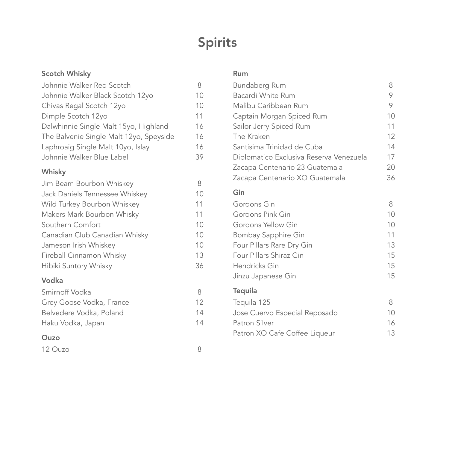## Spirits

#### Scotch Whisky

| Johnnie Walker Red Scotch               |    |
|-----------------------------------------|----|
| Johnnie Walker Black Scotch 12yo        | 10 |
| Chivas Regal Scotch 12yo                | 10 |
| Dimple Scotch 12yo                      | 11 |
| Dalwhinnie Single Malt 15yo, Highland   | 16 |
| The Balvenie Single Malt 12yo, Speyside | 16 |
| Laphroaig Single Malt 10yo, Islay       | 16 |
| Johnnie Walker Blue Label               | 39 |

#### Whisky

| Jim Beam Bourbon Whiskey       | 8  |
|--------------------------------|----|
| Jack Daniels Tennessee Whiskey | 10 |
| Wild Turkey Bourbon Whiskey    | 11 |
| Makers Mark Bourbon Whisky     | 11 |
| Southern Comfort               | 10 |
| Canadian Club Canadian Whisky  | 10 |
| Jameson Irish Whiskey          | 10 |
| Fireball Cinnamon Whisky       | 13 |
| Hibiki Suntory Whisky          | 36 |
| Vodka                          |    |

#### Smirnoff Vodka 8 Grey Goose Vodka, France 12 Belvedere Vodka, Poland 14 Haku Vodka, Japan 14

#### Ouzo

| 12 Ouzo |  |
|---------|--|
|         |  |

#### Rum

| Bundaberg Rum                           | 8               |
|-----------------------------------------|-----------------|
| Bacardi White Rum                       | 9               |
| Malibu Caribbean Rum                    | 9               |
| Captain Morgan Spiced Rum               | 10              |
| Sailor Jerry Spiced Rum                 | 11              |
| The Kraken                              | 12              |
| Santisima Trinidad de Cuba              | 14              |
| Diplomatico Exclusiva Reserva Venezuela | 17              |
| Zacapa Centenario 23 Guatemala          | 20              |
| Zacapa Centenario XO Guatemala          | 36              |
| Gin                                     |                 |
| Gordons Gin                             | 8               |
| Gordons Pink Gin                        | 10              |
| Gordons Yellow Gin                      | 10 <sup>°</sup> |
| Bombay Sapphire Gin                     | 11              |
| Four Pillars Rare Dry Gin               | 13              |
| Four Pillars Shiraz Gin                 | 15              |
| Hendricks Gin                           | 15              |
| Jinzu Japanese Gin                      | 15              |
| <b>Tequila</b>                          |                 |
| Tequila 125                             | 8               |
| Jose Cuervo Especial Reposado           | 10              |
| Patron Silver                           | 16              |
| Patron XO Cafe Coffee Liqueur           | 13              |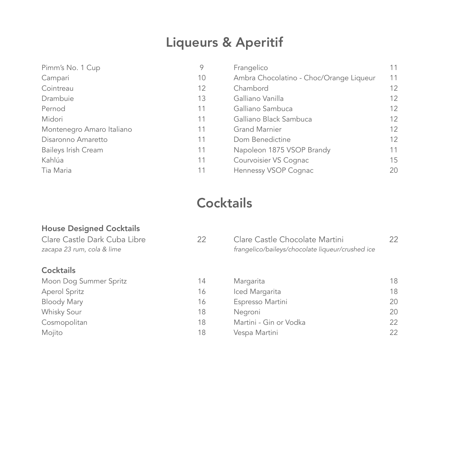## Liqueurs & Aperitif

| Pimm's No. 1 Cup           | 9  | Frangelico                              | 11 |
|----------------------------|----|-----------------------------------------|----|
| Campari                    | 10 | Ambra Chocolatino - Choc/Orange Liqueur | 11 |
| Cointreau                  | 12 | Chambord                                | 12 |
| Drambuie                   | 13 | Galliano Vanilla                        | 12 |
| Pernod                     | 11 | Galliano Sambuca                        | 12 |
| Midori                     | 11 | Galliano Black Sambuca                  | 12 |
| Montenegro Amaro Italiano  | 11 | <b>Grand Marnier</b>                    | 12 |
| Disaronno Amaretto         | 11 | Dom Benedictine                         | 12 |
| <b>Baileys Irish Cream</b> | 11 | Napoleon 1875 VSOP Brandy               | 11 |
| Kahlúa                     | 11 | Courvoisier VS Cognac                   | 15 |
| Tia Maria                  | 11 | Hennessy VSOP Cognac                    | 20 |

## **Cocktails**

#### House Designed Cocktails

| Clare Castle Dark Cuba Libre<br>zacapa 23 rum, cola & lime | 22 | Clare Castle Chocolate Martini<br>frangelico/baileys/chocolate liqueur/crushed ice | 22 |
|------------------------------------------------------------|----|------------------------------------------------------------------------------------|----|
| <b>Cocktails</b>                                           |    |                                                                                    |    |
| Moon Dog Summer Spritz                                     | 14 | Margarita                                                                          | 18 |
| Aperol Spritz                                              | 16 | Iced Margarita                                                                     | 18 |
| <b>Bloody Mary</b>                                         | 16 | Espresso Martini                                                                   | 20 |
| Whisky Sour                                                | 18 | Negroni                                                                            | 20 |
| Cosmopolitan                                               | 18 | Martini - Gin or Vodka                                                             | 22 |
| Mojito                                                     | 18 | Vespa Martini                                                                      | 22 |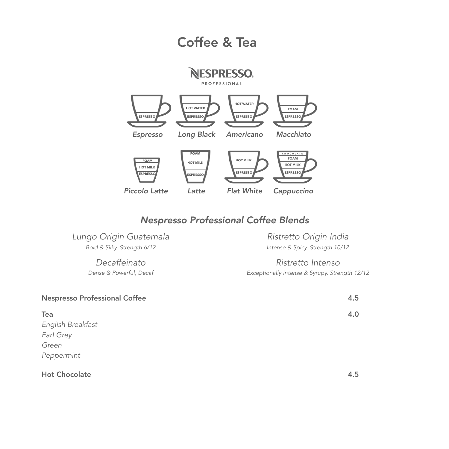### Coffee & Tea



#### *Nespresso Professional Coffee Blends*

*Lungo Origin Guatemala Ristretto Origin India*

 *Bold & Silky. Strength 6/12 Intense & Spicy. Strength 10/12*

*Decaffeinato Ristretto Intenso Dense & Powerful, Decaf Exceptionally Intense & Syrupy. Strength 12/12*

| <b>Nespresso Professional Coffee</b> | 4.5 |
|--------------------------------------|-----|
| Tea                                  | 4.0 |
| English Breakfast                    |     |
| Earl Grey                            |     |
| Green                                |     |
| Peppermint                           |     |
| <b>Hot Chocolate</b>                 | 4.5 |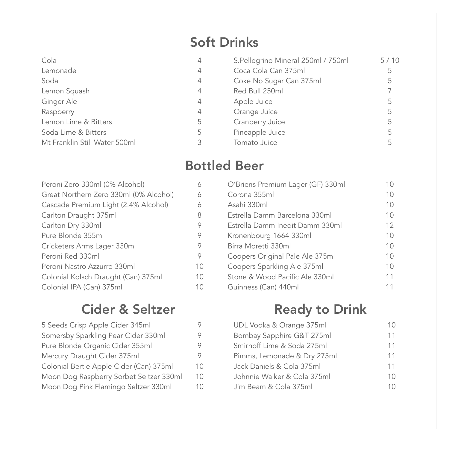## Soft Drinks

| Cola                          | 4 | S.Pellegrino Mineral 250ml / 750ml | 5/10 |
|-------------------------------|---|------------------------------------|------|
| Lemonade                      | 4 | Coca Cola Can 375ml                | 5    |
| Soda                          | 4 | Coke No Sugar Can 375ml            | 5    |
| Lemon Squash                  | 4 | Red Bull 250ml                     |      |
| Ginger Ale                    | 4 | Apple Juice                        | 5    |
| Raspberry                     | 4 | Orange Juice                       | 5    |
| Lemon Lime & Bitters          | 5 | Cranberry Juice                    | 5    |
| Soda Lime & Bitters           | 5 | Pineapple Juice                    | 5    |
| Mt Franklin Still Water 500ml |   | Tomato Juice                       |      |
|                               |   |                                    |      |

### Bottled Beer

| Peroni Zero 330ml (0% Alcohol)         |    |
|----------------------------------------|----|
| Great Northern Zero 330ml (0% Alcohol) | 6  |
| Cascade Premium Light (2.4% Alcohol)   | 6  |
| Carlton Draught 375ml                  | 8  |
| Carlton Dry 330ml                      | 9  |
| Pure Blonde 355ml                      | 9  |
| Cricketers Arms Lager 330ml            | 9  |
| Peroni Red 330ml                       | 9  |
| Peroni Nastro Azzurro 330ml            | 10 |
| Colonial Kolsch Draught (Can) 375ml    | 10 |
| Colonial IPA (Can) 375ml               | 10 |

### Cider & Seltzer

| 5 Seeds Crisp Apple Cider 345ml         |    |
|-----------------------------------------|----|
| Somersby Sparkling Pear Cider 330ml     |    |
| Pure Blonde Organic Cider 355ml         |    |
| Mercury Draught Cider 375ml             |    |
| Colonial Bertie Apple Cider (Can) 375ml | 10 |
| Moon Dog Raspberry Sorbet Seltzer 330ml | 10 |
| Moon Dog Pink Flamingo Seltzer 330ml    | 10 |
|                                         |    |

| O'Briens Premium Lager (GF) 330ml | 10 |
|-----------------------------------|----|
| Corona 355ml                      | 10 |
| Asahi 330ml                       | 10 |
| Estrella Damm Barcelona 330ml     | 10 |
| Estrella Damm Inedit Damm 330ml   | 12 |
| Kronenbourg 1664 330ml            | 10 |
| Birra Moretti 330ml               | 10 |
| Coopers Original Pale Ale 375ml   | 10 |
| Coopers Sparkling Ale 375ml       | 10 |
| Stone & Wood Pacific Ale 330ml    | 11 |
| Guinness (Can) 440ml              | 11 |

## Ready to Drink

| UDL Vodka & Orange 375ml    | 10 |
|-----------------------------|----|
| Bombay Sapphire G&T 275ml   | 11 |
| Smirnoff Lime & Soda 275ml  | 11 |
| Pimms, Lemonade & Dry 275ml | 11 |
| Jack Daniels & Cola 375ml   | 11 |
| Johnnie Walker & Cola 375ml | 10 |
| Jim Beam & Cola 375ml       | 10 |
|                             |    |